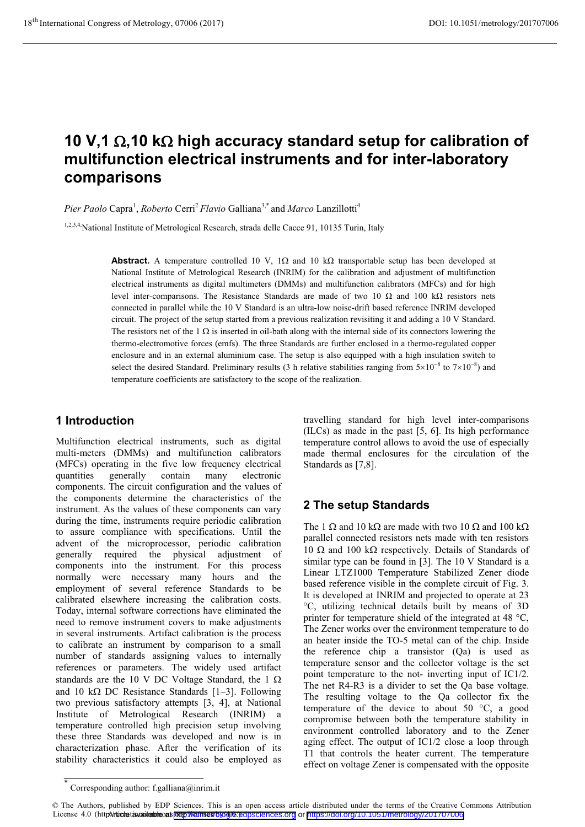# 10 V,1 Ω,10 kΩ high accuracy standard setup for calibration of **multifunction electrical instruments and for inter-laboratory comparisons**

Pier Paolo Capra<sup>1</sup>, *Roberto* Cerri<sup>2</sup> *Flavio* Galliana<sup>3,\*</sup> and *Marco* Lanzillotti<sup>4</sup>

1,2,3,4,National Institute of Metrological Research, strada delle Cacce 91, 10135 Turin, Italy

Abstract. A temperature controlled 10 V,  $1\Omega$  and 10 k $\Omega$  transportable setup has been developed at National Institute of Metrological Research (INRIM) for the calibration and adjustment of multifunction electrical instruments as digital multimeters (DMMs) and multifunction calibrators (MFCs) and for high level inter-comparisons. The Resistance Standards are made of two 10  $\Omega$  and 100 k $\Omega$  resistors nets connected in parallel while the 10 V Standard is an ultra-low noise-drift based reference INRIM developed circuit. The project of the setup started from a previous realization revisiting it and adding a 10 V Standard. The resistors net of the 1  $\Omega$  is inserted in oil-bath along with the internal side of its connectors lowering the thermo-electromotive forces (emfs). The three Standards are further enclosed in a thermo-regulated copper enclosure and in an external aluminium case. The setup is also equipped with a high insulation switch to select the desired Standard. Preliminary results (3 h relative stabilities ranging from  $5\times10^{-8}$  to  $7\times10^{-8}$ ) and temperature coefficients are satisfactory to the scope of the realization.

# **1 Introduction**

Multifunction electrical instruments, such as digital multi-meters (DMMs) and multifunction calibrators (MFCs) operating in the five low frequency electrical quantities generally contain many electronic components. The circuit configuration and the values of the components determine the characteristics of the instrument. As the values of these components can vary during the time, instruments require periodic calibration to assure compliance with specifications. Until the advent of the microprocessor, periodic calibration generally required the physical adjustment of components into the instrument. For this process normally were necessary many hours and the employment of several reference Standards to be calibrated elsewhere increasing the calibration costs. Today, internal software corrections have eliminated the need to remove instrument covers to make adjustments in several instruments. Artifact calibration is the process to calibrate an instrument by comparison to a small number of standards assigning values to internally references or parameters. The widely used artifact standards are the 10 V DC Voltage Standard, the 1  $\Omega$ and 10 k $\Omega$  DC Resistance Standards [1-3]. Following two previous satisfactory attempts [3, 4], at National Institute of Metrological Research (INRIM) a temperature controlled high precision setup involving these three Standards was developed and now is in characterization phase. After the verification of its stability characteristics it could also be employed as travelling standard for high level inter-comparisons (ILCs) as made in the past [5, 6]. Its high performance temperature control allows to avoid the use of especially made thermal enclosures for the circulation of the Standards as [7,8].

# **2 The setup Standards**

The 1  $\Omega$  and 10 k $\Omega$  are made with two 10  $\Omega$  and 100 k $\Omega$ parallel connected resistors nets made with ten resistors 10  $\Omega$  and 100 k $\Omega$  respectively. Details of Standards of similar type can be found in [3]. The 10 V Standard is a Linear LTZ1000 Temperature Stabilized Zener diode based reference visible in the complete circuit of Fig. 3. It is developed at INRIM and projected to operate at 23 °C, utilizing technical details built by means of 3D printer for temperature shield of the integrated at 48 °C, The Zener works over the environment temperature to do an heater inside the TO-5 metal can of the chip. Inside the reference chip a transistor (Qa) is used as temperature sensor and the collector voltage is the set point temperature to the not- inverting input of IC1/2. The net R4-R3 is a divider to set the Qa base voltage. The resulting voltage to the Qa collector fix the temperature of the device to about 50 °C, a good compromise between both the temperature stability in environment controlled laboratory and to the Zener aging effect. The output of IC1/2 close a loop through T1 that controls the heater current. The temperature effect on voltage Zener is compensated with the opposite

<sup>\*</sup> Corresponding author: f.galliana@inrim.it

<sup>©</sup> The Authors, published by EDP Sciences. This is an open access article distributed under the terms of the Creative Commons Attribution License 4.0 (http://doi.org/10.1051/metrology/201707006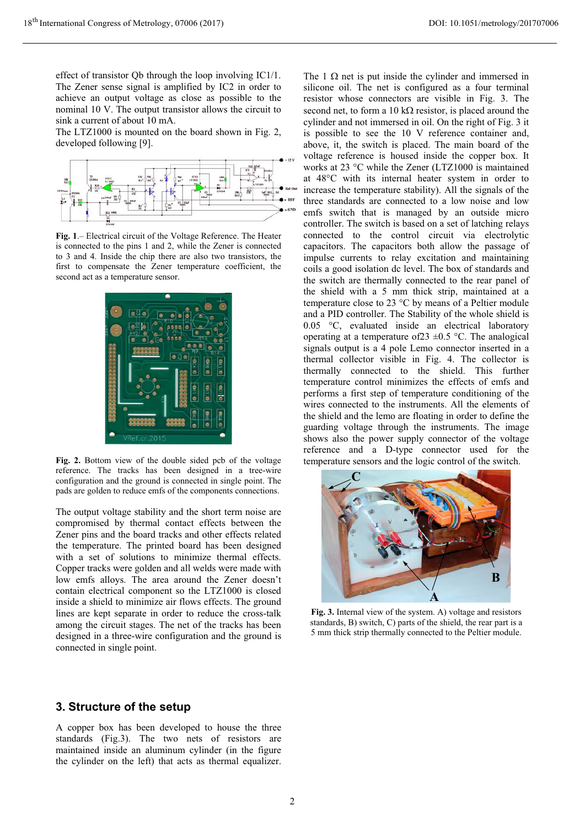effect of transistor Qb through the loop involving IC1/1. The Zener sense signal is amplified by IC2 in order to achieve an output voltage as close as possible to the nominal 10 V. The output transistor allows the circuit to sink a current of about 10 mA.

The LTZ1000 is mounted on the board shown in Fig. 2, developed following [9].



**Fig. 1**.– Electrical circuit of the Voltage Reference. The Heater is connected to the pins 1 and 2, while the Zener is connected to 3 and 4. Inside the chip there are also two transistors, the first to compensate the Zener temperature coefficient, the second act as a temperature sensor.



**Fig. 2.** Bottom view of the double sided pcb of the voltage reference. The tracks has been designed in a tree-wire configuration and the ground is connected in single point. The pads are golden to reduce emfs of the components connections.

The output voltage stability and the short term noise are compromised by thermal contact effects between the Zener pins and the board tracks and other effects related the temperature. The printed board has been designed with a set of solutions to minimize thermal effects. Copper tracks were golden and all welds were made with low emfs alloys. The area around the Zener doesn't contain electrical component so the LTZ1000 is closed inside a shield to minimize air flows effects. The ground lines are kept separate in order to reduce the cross-talk among the circuit stages. The net of the tracks has been designed in a three-wire configuration and the ground is connected in single point.

## The  $1 \Omega$  net is put inside the cylinder and immersed in silicone oil. The net is configured as a four terminal resistor whose connectors are visible in Fig. 3. The second net, to form a 10 k $\Omega$  resistor, is placed around the cylinder and not immersed in oil. On the right of Fig. 3 it is possible to see the 10 V reference container and, above, it, the switch is placed. The main board of the voltage reference is housed inside the copper box. It works at 23 °C while the Zener (LTZ1000 is maintained at 48°C with its internal heater system in order to increase the temperature stability). All the signals of the three standards are connected to a low noise and low emfs switch that is managed by an outside micro controller. The switch is based on a set of latching relays connected to the control circuit via electrolytic capacitors. The capacitors both allow the passage of impulse currents to relay excitation and maintaining coils a good isolation dc level. The box of standards and the switch are thermally connected to the rear panel of the shield with a 5 mm thick strip, maintained at a temperature close to 23 °C by means of a Peltier module and a PID controller. The Stability of the whole shield is 0.05 °C, evaluated inside an electrical laboratory operating at a temperature of  $23 \pm 0.5$  °C. The analogical signals output is a 4 pole Lemo connector inserted in a thermal collector visible in Fig. 4. The collector is thermally connected to the shield. This further temperature control minimizes the effects of emfs and performs a first step of temperature conditioning of the wires connected to the instruments. All the elements of the shield and the lemo are floating in order to define the guarding voltage through the instruments. The image shows also the power supply connector of the voltage reference and a D-type connector used for the temperature sensors and the logic control of the switch.



**Fig. 3.** Internal view of the system. A) voltage and resistors standards. B) switch C) parts of the shield, the rear part is a standards, B) switch, C) parts of the shield, the rear part is a 5 mm thick strip thermally connected to the Peltier module.

# **3. Structure of the setup**

A copper box has been developed to house the three standards (Fig.3). The two nets of resistors are maintained inside an aluminum cylinder (in the figure the cylinder on the left) that acts as thermal equalizer.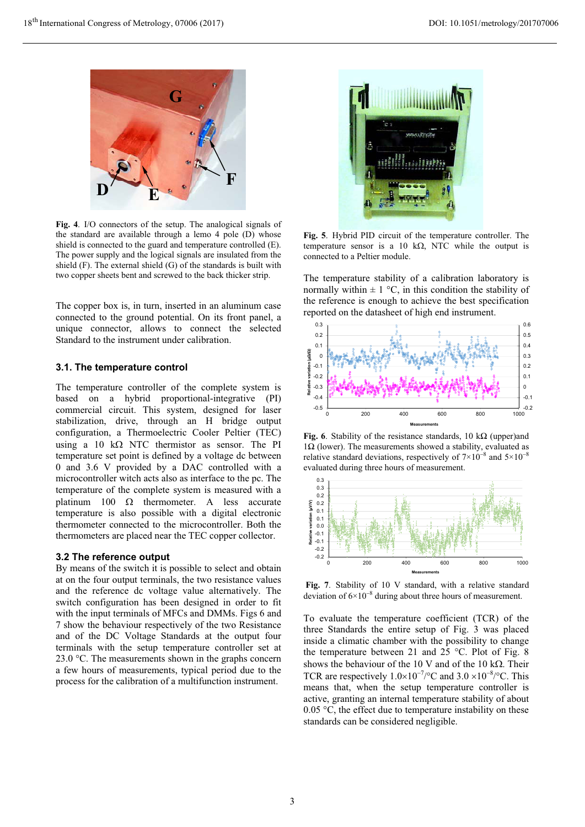

**Fig. 4**. I/O connectors of the setup. The analogical signals of the standard are available through a lemo 4 pole (D) whose shield is connected to the guard and temperature controlled (E). The power supply and the logical signals are insulated from the shield (F). The external shield (G) of the standards is built with two copper sheets bent and screwed to the back thicker strip.

The copper box is, in turn, inserted in an aluminum case connected to the ground potential. On its front panel, a unique connector, allows to connect the selected Standard to the instrument under calibration.

### **3.1. The temperature control**

The temperature controller of the complete system is based on a hybrid proportional-integrative (PI) commercial circuit. This system, designed for laser stabilization, drive, through an H bridge output configuration, a Thermoelectric Cooler Peltier (TEC) using a 10  $k\Omega$  NTC thermistor as sensor. The PI temperature set point is defined by a voltage dc between 0 and 3.6 V provided by a DAC controlled with a microcontroller witch acts also as interface to the pc. The temperature of the complete system is measured with a platinum 100  $\Omega$  thermometer. A less accurate temperature is also possible with a digital electronic thermometer connected to the microcontroller. Both the thermometers are placed near the TEC copper collector.

### **3.2 The reference output**

By means of the switch it is possible to select and obtain at on the four output terminals, the two resistance values and the reference dc voltage value alternatively. The switch configuration has been designed in order to fit with the input terminals of MFCs and DMMs. Figs 6 and 7 show the behaviour respectively of the two Resistance and of the DC Voltage Standards at the output four terminals with the setup temperature controller set at 23.0 °C. The measurements shown in the graphs concern a few hours of measurements, typical period due to the process for the calibration of a multifunction instrument.



**Fig. 5**. Hybrid PID circuit of the temperature controller. The temperature sensor is a 10  $k\Omega$ , NTC while the output is connected to a Peltier module.

The temperature stability of a calibration laboratory is normally within  $\pm 1$  °C, in this condition the stability of the reference is enough to achieve the best specification reported on the datasheet of high end instrument.



**Fig. 6**. Stability of the resistance standards, 10 k $\Omega$  (upper)and  $1\Omega$  (lower). The measurements showed a stability, evaluated as relative standard deviations, respectively of  $7 \times 10^{-8}$  and  $5 \times 10^{-8}$ evaluated during three hours of measurement.



 **Fig. 7**. Stability of 10 V standard, with a relative standard deviation of  $6 \times 10^{-8}$  during about three hours of measurement.

To evaluate the temperature coefficient (TCR) of the three Standards the entire setup of Fig. 3 was placed inside a climatic chamber with the possibility to change the temperature between 21 and  $25^{\circ}$ C. Plot of Fig. 8 shows the behaviour of the 10 V and of the 10 k $\Omega$ . Their TCR are respectively  $1.0 \times 10^{-7}$ /°C and  $3.0 \times 10^{-8}$ /°C. This means that, when the setup temperature controller is active, granting an internal temperature stability of about 0.05 °C, the effect due to temperature instability on these standards can be considered negligible.